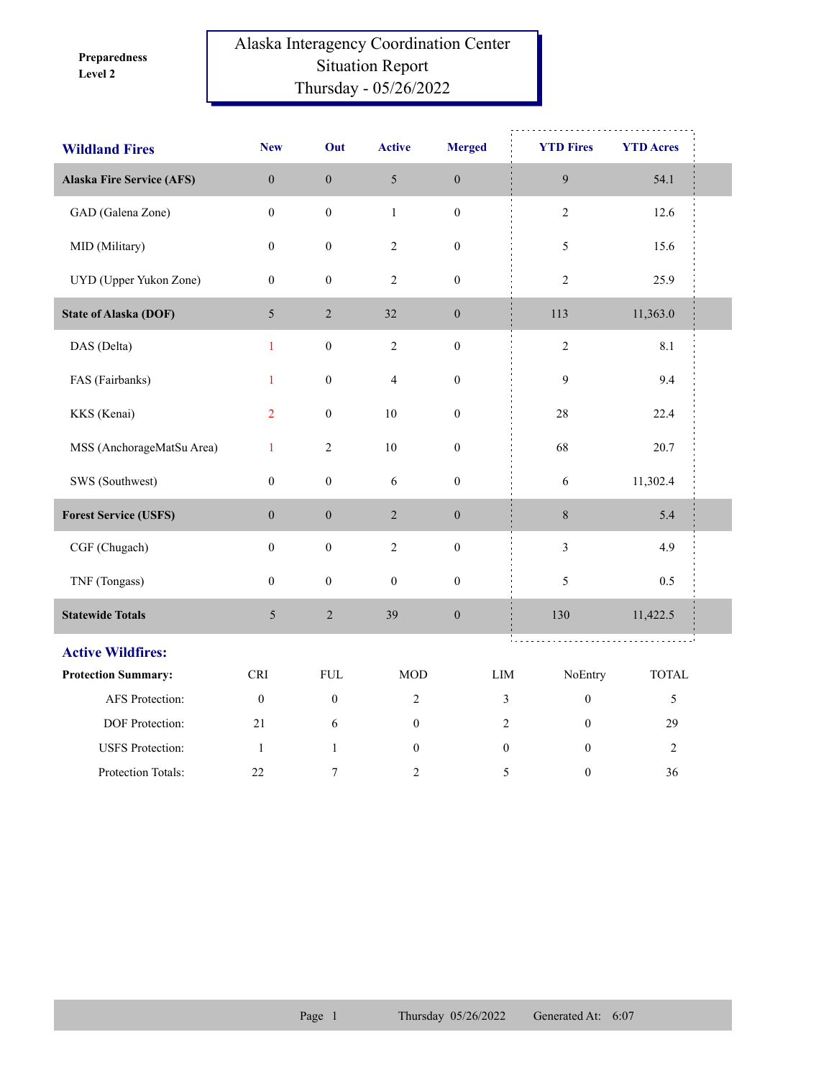**Level 2 Preparedness** 

## Alaska Interagency Coordination Center Situation Report Thursday - 05/26/2022

| <b>Wildland Fires</b>            | <b>New</b>       | Out              | <b>Active</b>           | <b>Merged</b>    | <b>YTD Fires</b>                   | <b>YTD Acres</b> |  |
|----------------------------------|------------------|------------------|-------------------------|------------------|------------------------------------|------------------|--|
| <b>Alaska Fire Service (AFS)</b> | $\boldsymbol{0}$ | $\boldsymbol{0}$ | 5                       | $\boldsymbol{0}$ | $\boldsymbol{9}$                   | 54.1             |  |
| GAD (Galena Zone)                | $\boldsymbol{0}$ | $\boldsymbol{0}$ | $\,1$                   | $\boldsymbol{0}$ | $\sqrt{2}$                         | 12.6             |  |
| MID (Military)                   | $\boldsymbol{0}$ | $\boldsymbol{0}$ | $\overline{c}$          | $\boldsymbol{0}$ | 5                                  | 15.6             |  |
| UYD (Upper Yukon Zone)           | $\boldsymbol{0}$ | $\boldsymbol{0}$ | $\overline{c}$          | $\boldsymbol{0}$ | $\overline{c}$                     | 25.9             |  |
| <b>State of Alaska (DOF)</b>     | $5\overline{)}$  | $\sqrt{2}$       | 32                      | $\boldsymbol{0}$ | 113                                | 11,363.0         |  |
| DAS (Delta)                      | $\mathbf{1}$     | $\boldsymbol{0}$ | $\sqrt{2}$              | $\boldsymbol{0}$ | $\sqrt{2}$                         | 8.1              |  |
| FAS (Fairbanks)                  | $\mathbf{1}$     | $\boldsymbol{0}$ | $\overline{\mathbf{4}}$ | $\boldsymbol{0}$ | 9                                  | 9.4              |  |
| KKS (Kenai)                      | $\overline{2}$   | $\boldsymbol{0}$ | $10\,$                  | $\boldsymbol{0}$ | 28                                 | 22.4             |  |
| MSS (AnchorageMatSu Area)        | $\mathbf{1}$     | $\sqrt{2}$       | $10\,$                  | $\boldsymbol{0}$ | 68                                 | 20.7             |  |
| SWS (Southwest)                  | $\boldsymbol{0}$ | $\boldsymbol{0}$ | $\sqrt{6}$              | $\boldsymbol{0}$ | 6                                  | 11,302.4         |  |
| <b>Forest Service (USFS)</b>     | $\mathbf{0}$     | $\boldsymbol{0}$ | $\overline{2}$          | $\boldsymbol{0}$ | $8\,$                              | 5.4              |  |
| CGF (Chugach)                    | $\boldsymbol{0}$ | $\boldsymbol{0}$ | $\sqrt{2}$              | $\boldsymbol{0}$ | $\mathfrak{Z}$                     | 4.9              |  |
| TNF (Tongass)                    | $\boldsymbol{0}$ | $\boldsymbol{0}$ | $\boldsymbol{0}$        | $\boldsymbol{0}$ | 5                                  | 0.5              |  |
| <b>Statewide Totals</b>          | $\mathfrak{S}$   | $\sqrt{2}$       | 39                      | $\boldsymbol{0}$ | 130                                | 11,422.5         |  |
| <b>Active Wildfires:</b>         |                  |                  |                         |                  |                                    |                  |  |
| <b>Protection Summary:</b>       | <b>CRI</b>       | <b>FUL</b>       | <b>MOD</b>              |                  | LIM<br>NoEntry                     | <b>TOTAL</b>     |  |
| AFS Protection:                  | $\mathbf{0}$     | $\boldsymbol{0}$ | $\overline{c}$          |                  | $\mathfrak{Z}$<br>$\boldsymbol{0}$ | 5                |  |
| DOF Protection:                  | 21               | 6                | $\boldsymbol{0}$        |                  | $\sqrt{2}$<br>$\theta$             | 29               |  |
| <b>USFS</b> Protection:          | $\mathbf{1}$     | $\mathbf{1}$     | $\boldsymbol{0}$        |                  | $\boldsymbol{0}$<br>$\mathbf{0}$   | $\sqrt{2}$       |  |
| Protection Totals:               | 22               | $\tau$           | 2                       |                  | 5<br>$\boldsymbol{0}$              | 36               |  |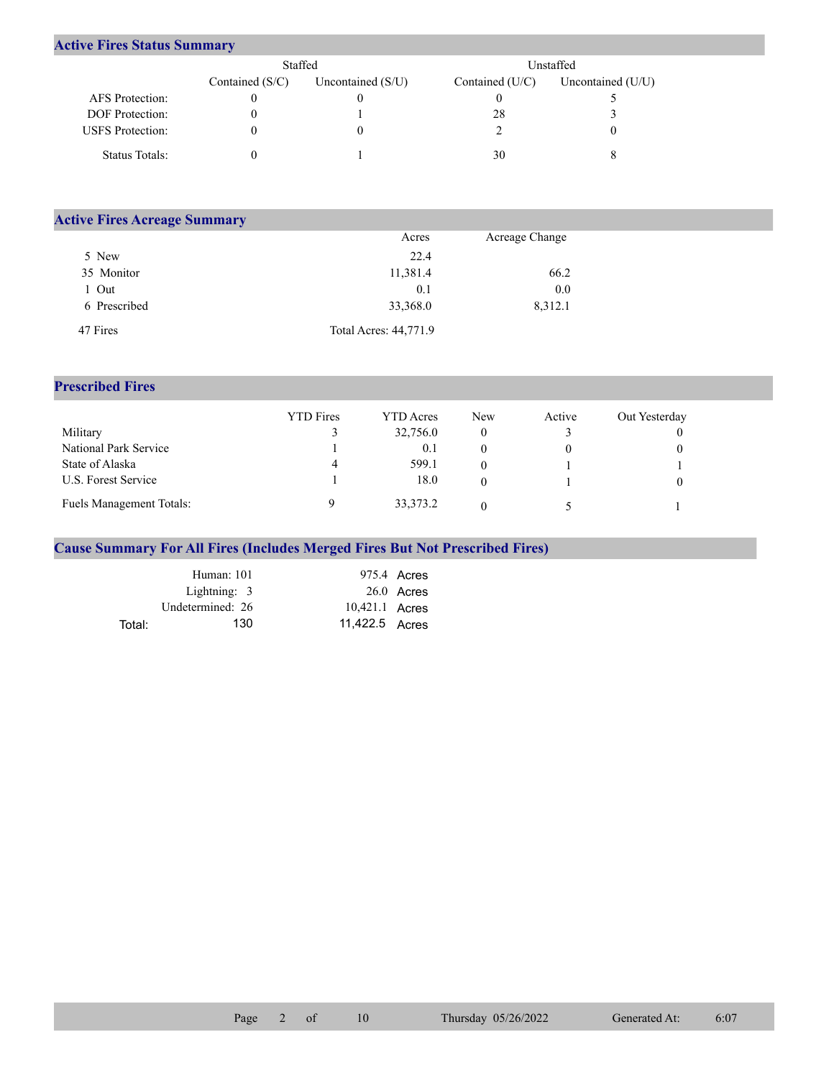## **Active Fires Status Summary**

|                         | Staffed           |                     | Unstaffed       |                   |  |  |
|-------------------------|-------------------|---------------------|-----------------|-------------------|--|--|
|                         | Contained $(S/C)$ | Uncontained $(S/U)$ | Contained (U/C) | Uncontained (U/U) |  |  |
| AFS Protection:         |                   |                     |                 |                   |  |  |
| <b>DOF</b> Protection:  |                   |                     | 28              |                   |  |  |
| <b>USFS</b> Protection: |                   |                     |                 |                   |  |  |
| Status Totals:          |                   |                     | 30              |                   |  |  |

| <b>Active Fires Acreage Summary</b> |                       |                |  |  |  |  |  |
|-------------------------------------|-----------------------|----------------|--|--|--|--|--|
|                                     | Acres                 | Acreage Change |  |  |  |  |  |
| 5 New                               | 22.4                  |                |  |  |  |  |  |
| 35 Monitor                          | 11,381.4              | 66.2           |  |  |  |  |  |
| Out                                 | 0.1                   | 0.0            |  |  |  |  |  |
| 6 Prescribed                        | 33,368.0              | 8,312.1        |  |  |  |  |  |
| 47 Fires                            | Total Acres: 44,771.9 |                |  |  |  |  |  |

## **Prescribed Fires**

|                          | <b>YTD</b> Fires | <b>YTD</b> Acres | <b>New</b> | Active | Out Yesterday |
|--------------------------|------------------|------------------|------------|--------|---------------|
| Military                 |                  | 32,756.0         |            |        |               |
| National Park Service    |                  | 0.1              |            |        |               |
| State of Alaska          |                  | 599.1            |            |        |               |
| U.S. Forest Service      |                  | 18.0             |            |        |               |
| Fuels Management Totals: |                  | 33, 373. 2       |            |        |               |

## **Cause Summary For All Fires (Includes Merged Fires But Not Prescribed Fires)**

| Human: 101       |     |                | 975.4 Acres  |
|------------------|-----|----------------|--------------|
| Lightning: 3     |     |                | $26.0$ Acres |
| Undetermined: 26 |     | 10,421.1 Acres |              |
| Total:           | 130 | 11.422.5 Acres |              |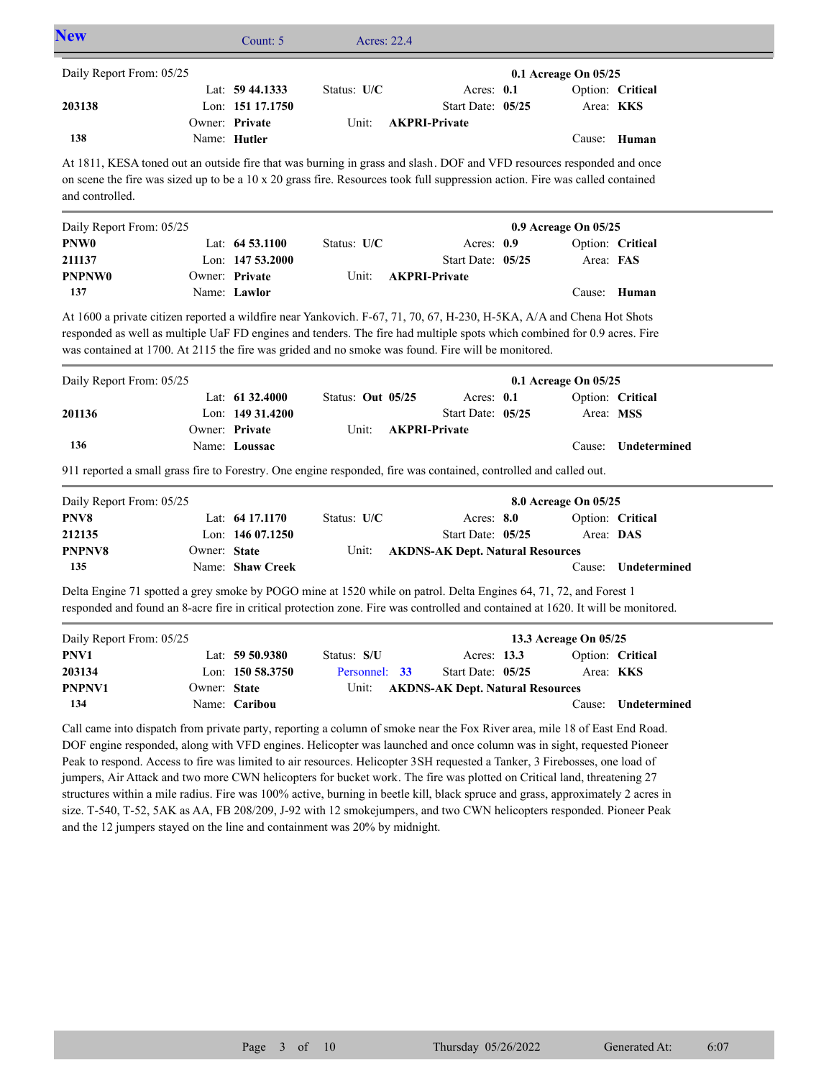| <b>New</b>                                                                                                                                                                                                                                                                                                                                                                                                                                                                                                                                                                                                                                                                                                                                                                                                                                            |              | Count: 5                               | Acres: 22.4       |                      |                                         |  |                       |                     |
|-------------------------------------------------------------------------------------------------------------------------------------------------------------------------------------------------------------------------------------------------------------------------------------------------------------------------------------------------------------------------------------------------------------------------------------------------------------------------------------------------------------------------------------------------------------------------------------------------------------------------------------------------------------------------------------------------------------------------------------------------------------------------------------------------------------------------------------------------------|--------------|----------------------------------------|-------------------|----------------------|-----------------------------------------|--|-----------------------|---------------------|
| Daily Report From: 05/25                                                                                                                                                                                                                                                                                                                                                                                                                                                                                                                                                                                                                                                                                                                                                                                                                              |              | Lat: 59 44.1333                        | Status: U/C       |                      | Acres: 0.1                              |  | 0.1 Acreage On 05/25  | Option: Critical    |
| 203138                                                                                                                                                                                                                                                                                                                                                                                                                                                                                                                                                                                                                                                                                                                                                                                                                                                |              | Lon: 151 17.1750<br>Owner: Private     | Unit:             | <b>AKPRI-Private</b> | Start Date: 05/25                       |  | Area: KKS             |                     |
| 138                                                                                                                                                                                                                                                                                                                                                                                                                                                                                                                                                                                                                                                                                                                                                                                                                                                   |              | Name: Hutler                           |                   |                      |                                         |  |                       | Cause: Human        |
| At 1811, KESA toned out an outside fire that was burning in grass and slash. DOF and VFD resources responded and once<br>on scene the fire was sized up to be a 10 x 20 grass fire. Resources took full suppression action. Fire was called contained<br>and controlled.                                                                                                                                                                                                                                                                                                                                                                                                                                                                                                                                                                              |              |                                        |                   |                      |                                         |  |                       |                     |
| Daily Report From: 05/25                                                                                                                                                                                                                                                                                                                                                                                                                                                                                                                                                                                                                                                                                                                                                                                                                              |              |                                        |                   |                      |                                         |  | 0.9 Acreage On 05/25  |                     |
| PNW <sub>0</sub>                                                                                                                                                                                                                                                                                                                                                                                                                                                                                                                                                                                                                                                                                                                                                                                                                                      |              | Lat: $64\,53.1100$                     | Status: U/C       |                      | Acres: 0.9                              |  |                       | Option: Critical    |
| 211137<br><b>PNPNW0</b>                                                                                                                                                                                                                                                                                                                                                                                                                                                                                                                                                                                                                                                                                                                                                                                                                               |              | Lon: $14753.2000$<br>Owner: Private    | Unit:             | <b>AKPRI-Private</b> | Start Date: 05/25                       |  | Area: FAS             |                     |
| 137                                                                                                                                                                                                                                                                                                                                                                                                                                                                                                                                                                                                                                                                                                                                                                                                                                                   |              | Name: Lawlor                           |                   |                      |                                         |  |                       | Cause: Human        |
| At 1600 a private citizen reported a wildfire near Yankovich. F-67, 71, 70, 67, H-230, H-5KA, A/A and Chena Hot Shots<br>responded as well as multiple UaF FD engines and tenders. The fire had multiple spots which combined for 0.9 acres. Fire<br>was contained at 1700. At 2115 the fire was grided and no smoke was found. Fire will be monitored.                                                                                                                                                                                                                                                                                                                                                                                                                                                                                               |              |                                        |                   |                      |                                         |  |                       |                     |
| Daily Report From: 05/25                                                                                                                                                                                                                                                                                                                                                                                                                                                                                                                                                                                                                                                                                                                                                                                                                              |              |                                        |                   |                      |                                         |  | 0.1 Acreage On 05/25  |                     |
| 201136                                                                                                                                                                                                                                                                                                                                                                                                                                                                                                                                                                                                                                                                                                                                                                                                                                                |              | Lat: $61\,32.4000$<br>Lon: 149 31.4200 | Status: Out 05/25 |                      | Acres: 0.1<br>Start Date: 05/25         |  | Area: MSS             | Option: Critical    |
| 136                                                                                                                                                                                                                                                                                                                                                                                                                                                                                                                                                                                                                                                                                                                                                                                                                                                   |              | Owner: Private<br>Name: Loussac        | Unit:             | <b>AKPRI-Private</b> |                                         |  | Cause:                | Undetermined        |
| 911 reported a small grass fire to Forestry. One engine responded, fire was contained, controlled and called out.                                                                                                                                                                                                                                                                                                                                                                                                                                                                                                                                                                                                                                                                                                                                     |              |                                        |                   |                      |                                         |  |                       |                     |
| Daily Report From: 05/25                                                                                                                                                                                                                                                                                                                                                                                                                                                                                                                                                                                                                                                                                                                                                                                                                              |              |                                        |                   |                      |                                         |  | 8.0 Acreage On 05/25  |                     |
| PNV8                                                                                                                                                                                                                                                                                                                                                                                                                                                                                                                                                                                                                                                                                                                                                                                                                                                  |              | Lat: 64 17.1170                        | Status: U/C       |                      | Acres: 8.0                              |  |                       | Option: Critical    |
| 212135                                                                                                                                                                                                                                                                                                                                                                                                                                                                                                                                                                                                                                                                                                                                                                                                                                                |              | Lon: 146 07.1250                       |                   |                      | Start Date: 05/25                       |  | Area: DAS             |                     |
| PNPNV8<br>135                                                                                                                                                                                                                                                                                                                                                                                                                                                                                                                                                                                                                                                                                                                                                                                                                                         | Owner: State | Name: Shaw Creek                       | Unit:             |                      | <b>AKDNS-AK Dept. Natural Resources</b> |  |                       | Cause: Undetermined |
| Delta Engine 71 spotted a grey smoke by POGO mine at 1520 while on patrol. Delta Engines 64, 71, 72, and Forest 1                                                                                                                                                                                                                                                                                                                                                                                                                                                                                                                                                                                                                                                                                                                                     |              |                                        |                   |                      |                                         |  |                       |                     |
| responded and found an 8-acre fire in critical protection zone. Fire was controlled and contained at 1620. It will be monitored.                                                                                                                                                                                                                                                                                                                                                                                                                                                                                                                                                                                                                                                                                                                      |              |                                        |                   |                      |                                         |  |                       |                     |
| Daily Report From: 05/25                                                                                                                                                                                                                                                                                                                                                                                                                                                                                                                                                                                                                                                                                                                                                                                                                              |              |                                        |                   |                      |                                         |  | 13.3 Acreage On 05/25 |                     |
| PNV1                                                                                                                                                                                                                                                                                                                                                                                                                                                                                                                                                                                                                                                                                                                                                                                                                                                  |              | Lat: 59 50.9380                        | Status: S/U       |                      | Acres: 13.3                             |  |                       | Option: Critical    |
| 203134                                                                                                                                                                                                                                                                                                                                                                                                                                                                                                                                                                                                                                                                                                                                                                                                                                                |              | Lon: 150 58.3750                       | Personnel: 33     |                      | Start Date: 05/25                       |  |                       | Area: KKS           |
| PNPNV1<br>134                                                                                                                                                                                                                                                                                                                                                                                                                                                                                                                                                                                                                                                                                                                                                                                                                                         | Owner: State | Name: Caribou                          | Unit:             |                      | <b>AKDNS-AK Dept. Natural Resources</b> |  | Cause:                | Undetermined        |
|                                                                                                                                                                                                                                                                                                                                                                                                                                                                                                                                                                                                                                                                                                                                                                                                                                                       |              |                                        |                   |                      |                                         |  |                       |                     |
| Call came into dispatch from private party, reporting a column of smoke near the Fox River area, mile 18 of East End Road.<br>DOF engine responded, along with VFD engines. Helicopter was launched and once column was in sight, requested Pioneer<br>Peak to respond. Access to fire was limited to air resources. Helicopter 3SH requested a Tanker, 3 Firebosses, one load of<br>jumpers, Air Attack and two more CWN helicopters for bucket work. The fire was plotted on Critical land, threatening 27<br>structures within a mile radius. Fire was 100% active, burning in beetle kill, black spruce and grass, approximately 2 acres in<br>size. T-540, T-52, 5AK as AA, FB 208/209, J-92 with 12 smokejumpers, and two CWN helicopters responded. Pioneer Peak<br>and the 12 jumpers stayed on the line and containment was 20% by midnight. |              |                                        |                   |                      |                                         |  |                       |                     |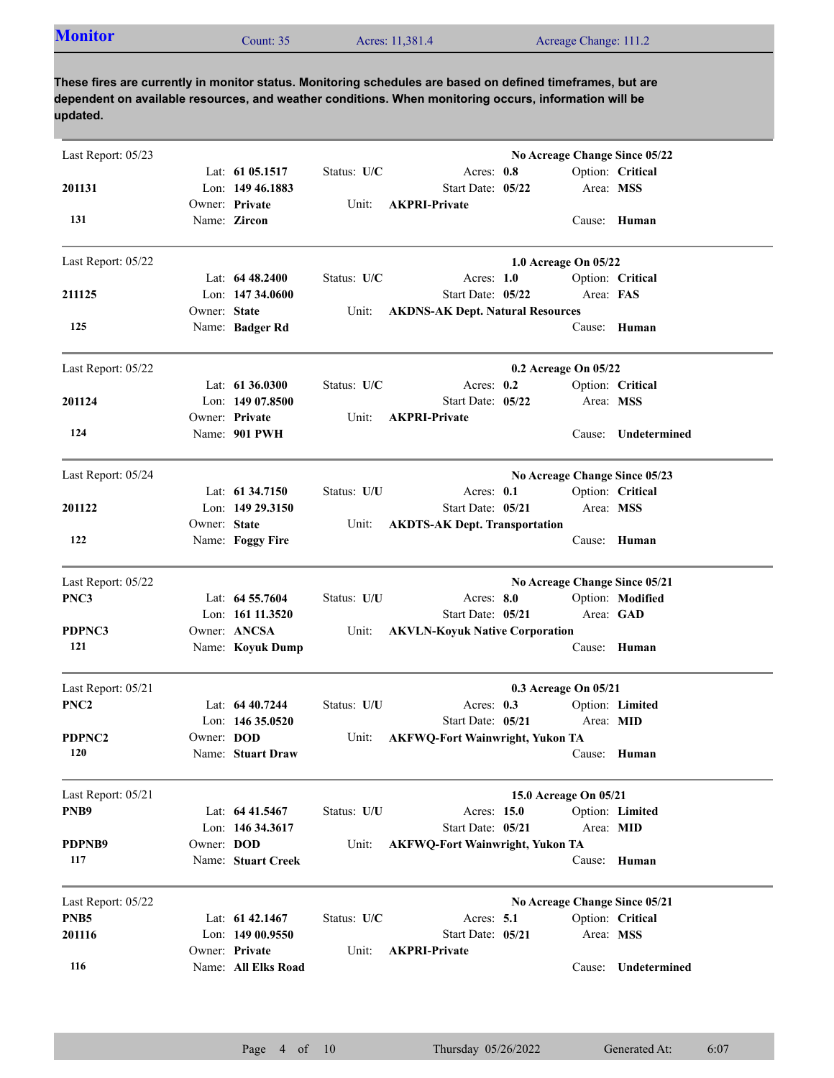| <b>Monitor</b><br>Acres: 11,381.4<br>Acreage Change: 111.2<br>Count: $352$ |  |
|----------------------------------------------------------------------------|--|
|----------------------------------------------------------------------------|--|

| Last Report: 05/23 |                   |                                        |             | No Acreage Change Since 05/22                                            |
|--------------------|-------------------|----------------------------------------|-------------|--------------------------------------------------------------------------|
| 201131             |                   | Lat: 61 05.1517<br>Lon: 149 46.1883    | Status: U/C | Acres: 0.8<br>Option: Critical<br>Start Date: 05/22<br>Area: MSS         |
| 131                |                   | Owner: Private<br>Name: Zircon         | Unit:       | <b>AKPRI-Private</b><br>Cause: Human                                     |
| Last Report: 05/22 |                   |                                        |             | 1.0 Acreage On 05/22                                                     |
| 211125             |                   | Lat: $6448.2400$<br>Lon: $14734.0600$  | Status: U/C | Acres: $1.0$<br>Option: Critical<br>Area: FAS<br>Start Date: 05/22       |
|                    | Owner: State      |                                        | Unit:       | <b>AKDNS-AK Dept. Natural Resources</b>                                  |
| 125                |                   | Name: Badger Rd                        |             | Cause:<br>Human                                                          |
| Last Report: 05/22 |                   |                                        |             | 0.2 Acreage On 05/22                                                     |
| 201124             |                   | Lat: 61 36.0300<br>Lon: $14907.8500$   | Status: U/C | Acres: $0.2$<br>Option: Critical<br>Start Date: 05/22<br>Area: MSS       |
|                    |                   | Owner: Private                         | Unit:       | <b>AKPRI-Private</b>                                                     |
| 124                |                   | Name: 901 PWH                          |             | Undetermined<br>Cause:                                                   |
| Last Report: 05/24 |                   |                                        |             | No Acreage Change Since 05/23                                            |
|                    |                   | Lat: $61\,34.7150$<br>Lon: 149 29.3150 | Status: U/U | Acres: 0.1<br>Option: Critical<br>Start Date: 05/21                      |
| 201122             | Owner: State      |                                        | Unit:       | Area: MSS<br><b>AKDTS-AK Dept. Transportation</b>                        |
| 122                |                   | Name: Foggy Fire                       |             | Cause: Human                                                             |
| Last Report: 05/22 |                   |                                        |             | No Acreage Change Since 05/21                                            |
| PNC3               |                   | Lat: 64 55.7604                        | Status: U/U | Acres: 8.0<br>Option: Modified                                           |
| PDPNC3             |                   | Lon: 161 11.3520<br>Owner: ANCSA       | Unit:       | Start Date: 05/21<br>Area: GAD<br><b>AKVLN-Koyuk Native Corporation</b>  |
| 121                |                   | Name: Koyuk Dump                       |             | Cause: Human                                                             |
| Last Report: 05/21 |                   |                                        |             | 0.3 Acreage On 05/21                                                     |
| PNC <sub>2</sub>   |                   | Lat: $6440.7244$                       | Status: U/U | Acres: $0.3$<br>Option: Limited                                          |
| PDPNC2             | Owner: <b>DOD</b> | Lon: $14635.0520$                      | Unit:       | Start Date: 05/21<br>Area: MID<br><b>AKFWQ-Fort Wainwright, Yukon TA</b> |
| 120                |                   | Name: Stuart Draw                      |             | Cause: Human                                                             |
| Last Report: 05/21 |                   |                                        |             | 15.0 Acreage On 05/21                                                    |
| PNB9               |                   | Lat: 64 41.5467                        | Status: U/U | Acres: 15.0<br>Option: Limited                                           |
| PDPNB9             | Owner: DOD        | Lon: 146 34.3617                       | Unit:       | Start Date: 05/21<br>Area: MID<br><b>AKFWQ-Fort Wainwright, Yukon TA</b> |
| 117                |                   | Name: Stuart Creek                     |             | Cause: Human                                                             |
| Last Report: 05/22 |                   |                                        |             | No Acreage Change Since 05/21                                            |
| PNB <sub>5</sub>   |                   | Lat: 61 42.1467                        | Status: U/C | Option: Critical<br>Acres: $5.1$                                         |
| 201116             |                   | Lon: 149 00.9550<br>Owner: Private     | Unit:       | Start Date: 05/21<br>Area: MSS<br><b>AKPRI-Private</b>                   |
| 116                |                   | Name: All Elks Road                    |             | Undetermined<br>Cause:                                                   |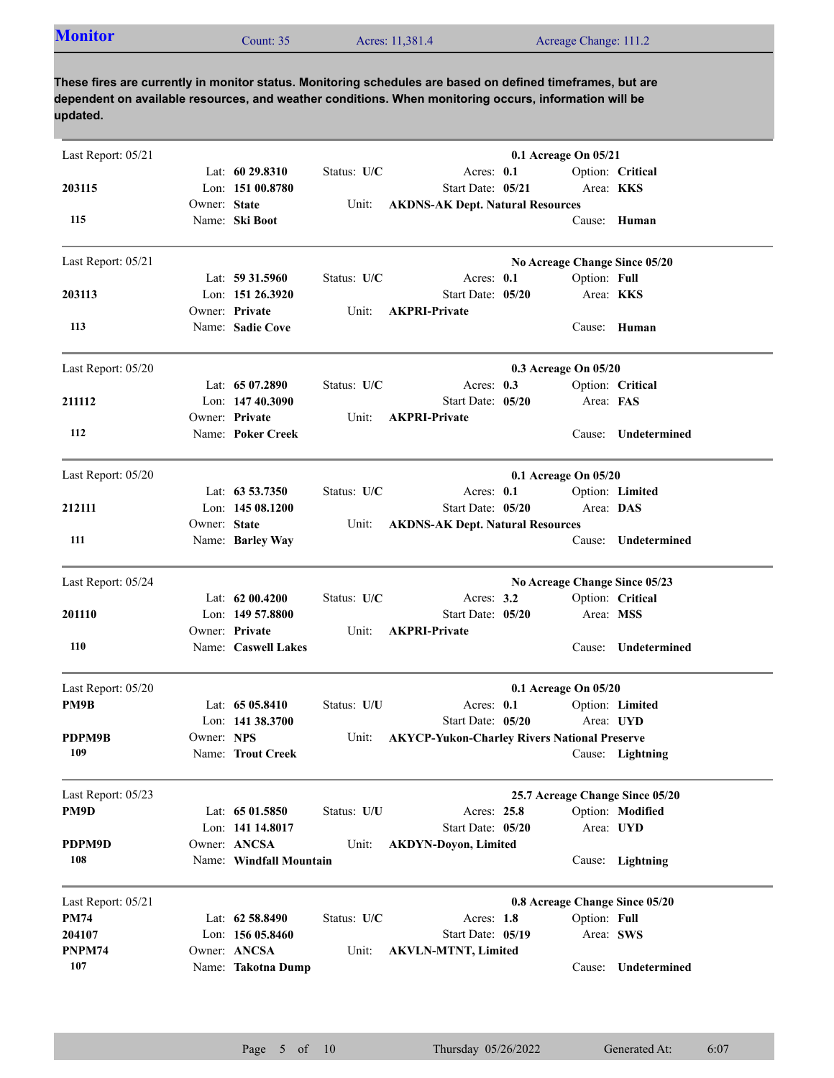| <b>Monitor</b><br>Acres: 11,381.4<br>Acreage Change: 111.2<br>Count: $35$ |  |
|---------------------------------------------------------------------------|--|
|---------------------------------------------------------------------------|--|

| Last Report: 05/21 |              |                                         |             |                                                     | 0.1 Acreage On 05/21 |              |                                 |
|--------------------|--------------|-----------------------------------------|-------------|-----------------------------------------------------|----------------------|--------------|---------------------------------|
|                    |              | Lat: $6029.8310$                        | Status: U/C | Acres: 0.1                                          |                      |              | Option: Critical                |
| 203115             | Owner: State | Lon: 151 00.8780                        |             | Start Date: 05/21                                   |                      | Area: KKS    |                                 |
| 115                |              | Name: Ski Boot                          | Unit:       | <b>AKDNS-AK Dept. Natural Resources</b>             |                      |              | Cause: Human                    |
| Last Report: 05/21 |              |                                         |             |                                                     |                      |              | No Acreage Change Since 05/20   |
|                    |              | Lat: $59\,31.5960$                      | Status: U/C | Acres: 0.1                                          |                      | Option: Full |                                 |
| 203113             |              | Lon: 151 26.3920                        |             | Start Date: 05/20                                   |                      | Area: KKS    |                                 |
| 113                |              | Owner: Private<br>Name: Sadie Cove      | Unit:       | <b>AKPRI-Private</b>                                |                      |              | Cause: Human                    |
| Last Report: 05/20 |              |                                         |             |                                                     | 0.3 Acreage On 05/20 |              |                                 |
|                    |              | Lat: $6507.2890$                        | Status: U/C | Acres: 0.3                                          |                      |              | Option: Critical                |
| 211112             |              | Lon: 147 40.3090                        |             | Start Date: 05/20                                   |                      | Area: FAS    |                                 |
| 112                |              | Owner: Private<br>Name: Poker Creek     | Unit:       | <b>AKPRI-Private</b>                                |                      |              | Cause: Undetermined             |
| Last Report: 05/20 |              |                                         |             |                                                     | 0.1 Acreage On 05/20 |              |                                 |
|                    |              | Lat: $63\,53.7350$                      | Status: U/C | Acres: 0.1                                          |                      |              | Option: Limited                 |
| 212111             |              | Lon: $14508.1200$                       |             | Start Date: 05/20                                   |                      | Area: DAS    |                                 |
|                    | Owner: State |                                         | Unit:       | <b>AKDNS-AK Dept. Natural Resources</b>             |                      |              |                                 |
| 111                |              | Name: Barley Way                        |             |                                                     |                      | Cause:       | Undetermined                    |
| Last Report: 05/24 |              |                                         |             |                                                     |                      |              | No Acreage Change Since 05/23   |
|                    |              | Lat: $6200.4200$                        | Status: U/C | Acres: $3.2$                                        |                      |              | Option: Critical                |
| 201110             |              | Lon: 149 57.8800<br>Owner: Private      |             | Start Date: 05/20<br><b>AKPRI-Private</b>           |                      | Area: MSS    |                                 |
| 110                |              | Name: Caswell Lakes                     | Unit:       |                                                     |                      | Cause:       | Undetermined                    |
| Last Report: 05/20 |              |                                         |             |                                                     | 0.1 Acreage On 05/20 |              |                                 |
| PM9B               |              | Lat: $6505.8410$                        | Status: U/U | Acres: $0.1$                                        |                      |              | Option: Limited                 |
|                    |              | Lon: 141 38.3700                        |             | Start Date: 05/20                                   |                      |              | Area: UYD                       |
| PDPM9B             | Owner: NPS   |                                         | Unit:       | <b>AKYCP-Yukon-Charley Rivers National Preserve</b> |                      |              |                                 |
| 109                |              | Name: Trout Creek                       |             |                                                     |                      |              | Cause: Lightning                |
| Last Report: 05/23 |              |                                         |             |                                                     |                      |              | 25.7 Acreage Change Since 05/20 |
| PM9D               |              | Lat: 65 01.5850                         | Status: U/U | Acres: 25.8                                         |                      |              | Option: Modified                |
|                    |              | Lon: 141 14.8017                        |             | Start Date: 05/20                                   |                      |              | Area: UYD                       |
| PDPM9D<br>108      |              | Owner: ANCSA<br>Name: Windfall Mountain | Unit:       | <b>AKDYN-Doyon, Limited</b>                         |                      |              |                                 |
|                    |              |                                         |             |                                                     |                      |              | Cause: Lightning                |
| Last Report: 05/21 |              |                                         |             |                                                     |                      |              | 0.8 Acreage Change Since 05/20  |
| <b>PM74</b>        |              | Lat: 62 58.8490                         | Status: U/C | Acres: 1.8                                          |                      | Option: Full |                                 |
| 204107             |              | Lon: 156 05.8460                        |             | Start Date: 05/19                                   |                      |              | Area: SWS                       |
| PNPM74<br>107      |              | Owner: ANCSA                            | Unit:       | <b>AKVLN-MTNT, Limited</b>                          |                      |              |                                 |
|                    |              | Name: Takotna Dump                      |             |                                                     |                      | Cause:       | Undetermined                    |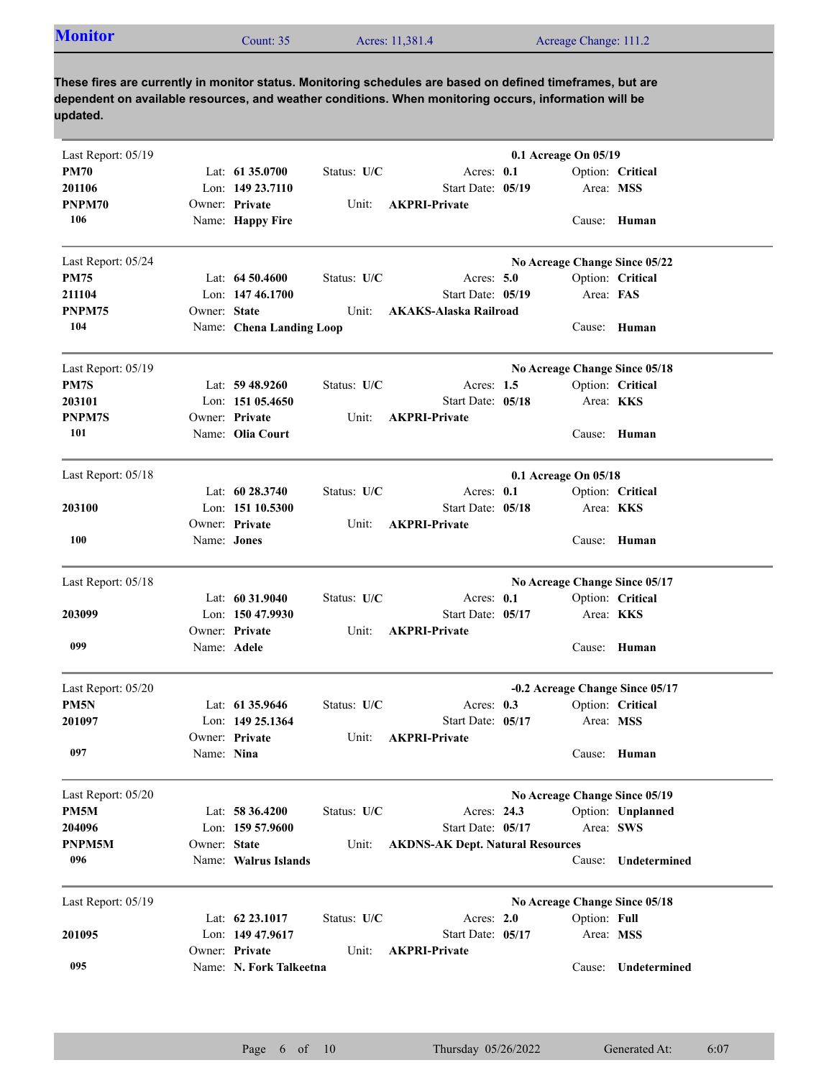|  | <b>Monitor</b><br>Acres: 11,381.4<br>Acreage Change: 111.2<br>Count: $352$ |
|--|----------------------------------------------------------------------------|
|--|----------------------------------------------------------------------------|

| Last Report: 05/19 |              |                          |             |                                         | 0.1 Acreage On 05/19 |              |                                 |
|--------------------|--------------|--------------------------|-------------|-----------------------------------------|----------------------|--------------|---------------------------------|
| <b>PM70</b>        |              | Lat: $61\,35.0700$       | Status: U/C | Acres: 0.1                              |                      |              | Option: Critical                |
| 201106             |              | Lon: 149 23.7110         |             | Start Date: 05/19                       |                      | Area: MSS    |                                 |
| PNPM70             |              | Owner: Private           | Unit:       | <b>AKPRI-Private</b>                    |                      |              |                                 |
| 106                |              | Name: Happy Fire         |             |                                         |                      |              | Cause: Human                    |
| Last Report: 05/24 |              |                          |             |                                         |                      |              | No Acreage Change Since 05/22   |
| <b>PM75</b>        |              | Lat: $64,50,4600$        | Status: U/C | Acres: $5.0$                            |                      |              | Option: Critical                |
| 211104             |              | Lon: 147 46.1700         |             | Start Date: 05/19                       |                      | Area: FAS    |                                 |
| PNPM75             | Owner: State |                          | Unit:       | <b>AKAKS-Alaska Railroad</b>            |                      |              |                                 |
| 104                |              | Name: Chena Landing Loop |             |                                         |                      |              | Cause: Human                    |
| Last Report: 05/19 |              |                          |             |                                         |                      |              | No Acreage Change Since 05/18   |
| PM7S               |              | Lat: $59\,48.9260$       | Status: U/C | Acres: $1.5$                            |                      |              | Option: Critical                |
| 203101             |              | Lon: $15105.4650$        |             | Start Date: 05/18                       |                      |              | Area: <b>KKS</b>                |
| <b>PNPM7S</b>      |              | Owner: Private           | Unit:       | <b>AKPRI-Private</b>                    |                      |              |                                 |
| 101                |              | Name: Olia Court         |             |                                         |                      |              | Cause: Human                    |
| Last Report: 05/18 |              |                          |             |                                         | 0.1 Acreage On 05/18 |              |                                 |
|                    |              | Lat: $60\,28.3740$       | Status: U/C | Acres: $0.1$                            |                      |              | Option: Critical                |
| 203100             |              | Lon: 151 10.5300         |             | Start Date: 05/18                       |                      |              | Area: KKS                       |
|                    |              | Owner: Private           | Unit:       | <b>AKPRI-Private</b>                    |                      |              |                                 |
| 100                | Name: Jones  |                          |             |                                         |                      |              | Cause: Human                    |
| Last Report: 05/18 |              |                          |             |                                         |                      |              | No Acreage Change Since 05/17   |
|                    |              | Lat: 60 31.9040          | Status: U/C | Acres: 0.1                              |                      |              | Option: Critical                |
| 203099             |              | Lon: 150 47.9930         |             | Start Date: 05/17                       |                      |              | Area: <b>KKS</b>                |
|                    |              | Owner: Private           | Unit:       | <b>AKPRI-Private</b>                    |                      |              |                                 |
| 099                | Name: Adele  |                          |             |                                         |                      |              | Cause: Human                    |
| Last Report: 05/20 |              |                          |             |                                         |                      |              | -0.2 Acreage Change Since 05/17 |
| PM5N               |              | Lat: 61 35,9646          | Status: U/C | Acres: 0.3                              |                      |              | Option: Critical                |
| 201097             |              | Lon: 149 25.1364         |             | Start Date: 05/17                       |                      | Area: MSS    |                                 |
|                    |              | Owner: Private           | Unit:       | <b>AKPRI-Private</b>                    |                      |              |                                 |
| 097                | Name: Nina   |                          |             |                                         |                      | $\sim$       | Cause: Human                    |
| Last Report: 05/20 |              |                          |             |                                         |                      |              | No Acreage Change Since 05/19   |
| PM5M               |              | Lat: 58 36.4200          | Status: U/C | Acres: 24.3                             |                      |              | Option: Unplanned               |
| 204096             |              | Lon: $15957.9600$        |             | Start Date: 05/17                       |                      |              | Area: SWS                       |
| PNPM5M             | Owner: State |                          | Unit:       | <b>AKDNS-AK Dept. Natural Resources</b> |                      |              |                                 |
| 096                |              | Name: Walrus Islands     |             |                                         |                      | Cause:       | Undetermined                    |
| Last Report: 05/19 |              |                          |             |                                         |                      |              | No Acreage Change Since 05/18   |
|                    |              | Lat: 62 23.1017          | Status: U/C | Acres: 2.0                              |                      | Option: Full |                                 |
| 201095             |              | Lon: 149 47.9617         |             | Start Date: 05/17                       |                      | Area: MSS    |                                 |
|                    |              | Owner: Private           | Unit:       | <b>AKPRI-Private</b>                    |                      |              |                                 |
| 095                |              | Name: N. Fork Talkeetna  |             |                                         |                      | Cause:       | Undetermined                    |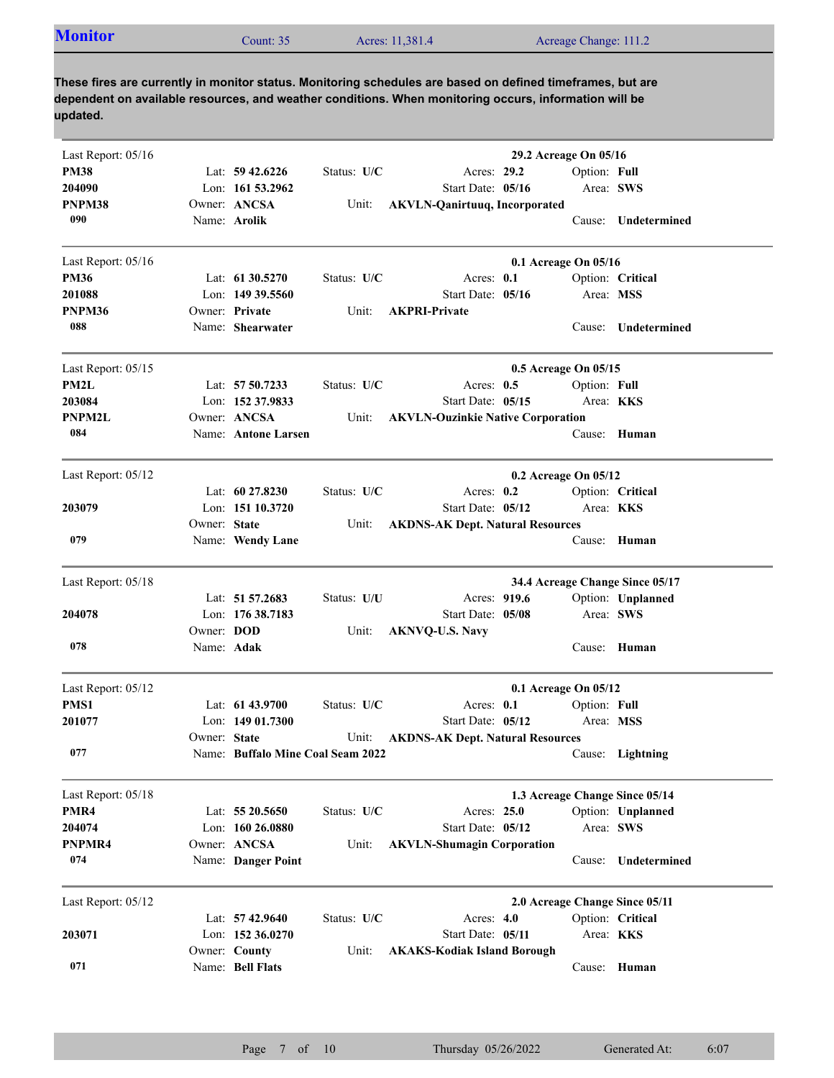| <b>Monitor</b><br>Acres: 11,381.4<br>Acreage Change: 111.2<br>Count: $35^{\circ}$ |  |
|-----------------------------------------------------------------------------------|--|
|-----------------------------------------------------------------------------------|--|

| Last Report: 05/16 |                   |                                   |             |                                          | 29.2 Acreage On 05/16 |                  |                                 |
|--------------------|-------------------|-----------------------------------|-------------|------------------------------------------|-----------------------|------------------|---------------------------------|
| <b>PM38</b>        |                   | Lat: $59\,42.6226$                | Status: U/C | Acres: 29.2                              |                       | Option: Full     |                                 |
| 204090             |                   | Lon: 161 53.2962                  |             | Start Date: 05/16                        |                       | Area: SWS        |                                 |
| PNPM38             |                   | Owner: ANCSA                      | Unit:       | <b>AKVLN-Qanirtuuq, Incorporated</b>     |                       |                  |                                 |
| 090                |                   | Name: Arolik                      |             |                                          |                       |                  | Cause: Undetermined             |
| Last Report: 05/16 |                   |                                   |             |                                          | 0.1 Acreage On 05/16  |                  |                                 |
| <b>PM36</b>        |                   | Lat: $61\,30.5270$                | Status: U/C | Acres: 0.1                               |                       |                  | Option: Critical                |
| 201088             |                   | Lon: 149 39.5560                  |             | Start Date: 05/16                        |                       | Area: MSS        |                                 |
| PNPM36             |                   | Owner: Private                    | Unit:       | <b>AKPRI-Private</b>                     |                       |                  |                                 |
| 088                |                   | Name: Shearwater                  |             |                                          |                       | Cause:           | Undetermined                    |
| Last Report: 05/15 |                   |                                   |             |                                          | 0.5 Acreage On 05/15  |                  |                                 |
| PM2L               |                   | Lat: 57 50.7233                   | Status: U/C | Acres: $0.5$                             |                       | Option: Full     |                                 |
| 203084             |                   | Lon: 152 37.9833                  |             | Start Date: 05/15                        |                       | Area: <b>KKS</b> |                                 |
| PNPM2L             |                   | Owner: ANCSA                      | Unit:       | <b>AKVLN-Ouzinkie Native Corporation</b> |                       |                  |                                 |
| 084                |                   | Name: Antone Larsen               |             |                                          |                       |                  | Cause: Human                    |
| Last Report: 05/12 |                   |                                   |             |                                          | 0.2 Acreage On 05/12  |                  |                                 |
|                    |                   | Lat: $60\,27.8230$                | Status: U/C | Acres: $0.2$                             |                       |                  | Option: Critical                |
| 203079             |                   | Lon: 151 10.3720                  |             | Start Date: 05/12                        |                       | Area: <b>KKS</b> |                                 |
|                    | Owner: State      |                                   | Unit:       | <b>AKDNS-AK Dept. Natural Resources</b>  |                       |                  |                                 |
| 079                |                   | Name: Wendy Lane                  |             |                                          |                       | Cause:           | Human                           |
| Last Report: 05/18 |                   |                                   |             |                                          |                       |                  | 34.4 Acreage Change Since 05/17 |
|                    |                   | Lat: 51 57.2683                   | Status: U/U | Acres: 919.6                             |                       |                  | Option: Unplanned               |
| 204078             |                   | Lon: 176 38.7183                  |             | Start Date: 05/08                        |                       | Area: SWS        |                                 |
|                    | Owner: <b>DOD</b> |                                   | Unit:       | <b>AKNVQ-U.S. Navy</b>                   |                       |                  |                                 |
| 078                | Name: Adak        |                                   |             |                                          |                       |                  | Cause: Human                    |
| Last Report: 05/12 |                   |                                   |             |                                          | 0.1 Acreage On 05/12  |                  |                                 |
| PMS1               |                   | Lat: 61 43.9700                   | Status: U/C | Acres: 0.1                               |                       | Option: Full     |                                 |
| 201077             |                   | Lon: $14901.7300$                 |             | Start Date: 05/12                        |                       | Area: MSS        |                                 |
|                    | Owner: State      |                                   | Unit:       | <b>AKDNS-AK Dept. Natural Resources</b>  |                       |                  |                                 |
| 077                |                   | Name: Buffalo Mine Coal Seam 2022 |             |                                          |                       |                  | Cause: Lightning                |
| Last Report: 05/18 |                   |                                   |             |                                          |                       |                  | 1.3 Acreage Change Since 05/14  |
| PMR4               |                   | Lat: $5520.5650$                  | Status: U/C | Acres: 25.0                              |                       |                  | Option: Unplanned               |
| 204074             |                   | Lon: 160 26.0880                  |             | Start Date: 05/12                        |                       | Area: SWS        |                                 |
| PNPMR4             |                   | Owner: ANCSA                      | Unit:       | <b>AKVLN-Shumagin Corporation</b>        |                       |                  |                                 |
| 074                |                   | Name: Danger Point                |             |                                          |                       |                  | Cause: Undetermined             |
| Last Report: 05/12 |                   |                                   |             |                                          |                       |                  | 2.0 Acreage Change Since 05/11  |
|                    |                   | Lat: 57 42.9640                   | Status: U/C | Acres: $4.0$                             |                       |                  | Option: Critical                |
| 203071             |                   | Lon: $152\,36.0270$               |             | Start Date: 05/11                        |                       | Area: KKS        |                                 |
|                    |                   | Owner: County                     | Unit:       | <b>AKAKS-Kodiak Island Borough</b>       |                       |                  |                                 |
| 071                |                   | Name: Bell Flats                  |             |                                          |                       |                  | Cause: Human                    |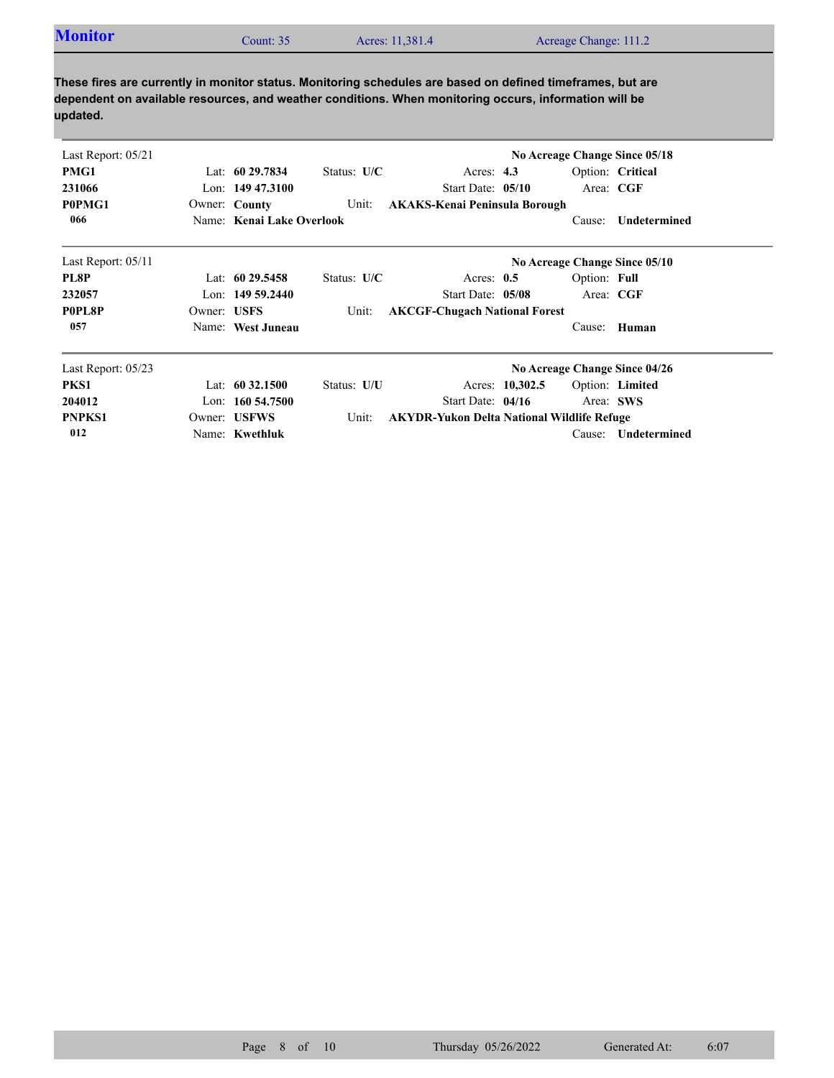| <b>Monitor</b><br>Acres: 11,381.4<br>Acreage Change: 111.2<br>`ount: 35 |  |
|-------------------------------------------------------------------------|--|
|-------------------------------------------------------------------------|--|

| Last Report: 05/21 |             |                           |               |                                                   |                 |              | No Acreage Change Since 05/18 |
|--------------------|-------------|---------------------------|---------------|---------------------------------------------------|-----------------|--------------|-------------------------------|
| PMG1               |             | Lat: $6029.7834$          | Status: $U/C$ | Acres: $4.3$                                      |                 |              | Option: Critical              |
| 231066             |             | Lon: $14947.3100$         |               | Start Date: 05/10                                 |                 | Area: CGF    |                               |
| P0PMG1             |             | Owner: County             | Unit:         | <b>AKAKS-Kenai Peninsula Borough</b>              |                 |              |                               |
| 066                |             | Name: Kenai Lake Overlook |               |                                                   |                 | Cause:       | Undetermined                  |
| Last Report: 05/11 |             |                           |               |                                                   |                 |              | No Acreage Change Since 05/10 |
| PL8P               |             | Lat: 60 29.5458           | Status: $U/C$ | Acres: $0.5$                                      |                 | Option: Full |                               |
| 232057             |             | Lon: 149 59.2440          |               | Start Date: 05/08                                 |                 | Area: CGF    |                               |
| P0PL8P             | Owner: USFS |                           | Unit:         | <b>AKCGF-Chugach National Forest</b>              |                 |              |                               |
| 057                |             | Name: West Juneau         |               |                                                   |                 | Cause:       | Human                         |
| Last Report: 05/23 |             |                           |               |                                                   |                 |              | No Acreage Change Since 04/26 |
| PKS1               |             | Lat: $60\,32.1500$        | Status: U/U   |                                                   | Acres: 10,302.5 |              | Option: Limited               |
| 204012             |             | Lon: $160\,54.7500$       |               | Start Date: $04/16$                               |                 | Area: SWS    |                               |
| <b>PNPKS1</b>      |             | Owner: USFWS              | Unit:         | <b>AKYDR-Yukon Delta National Wildlife Refuge</b> |                 |              |                               |
| 012                |             | Name: Kwethluk            |               |                                                   |                 | Cause:       | Undetermined                  |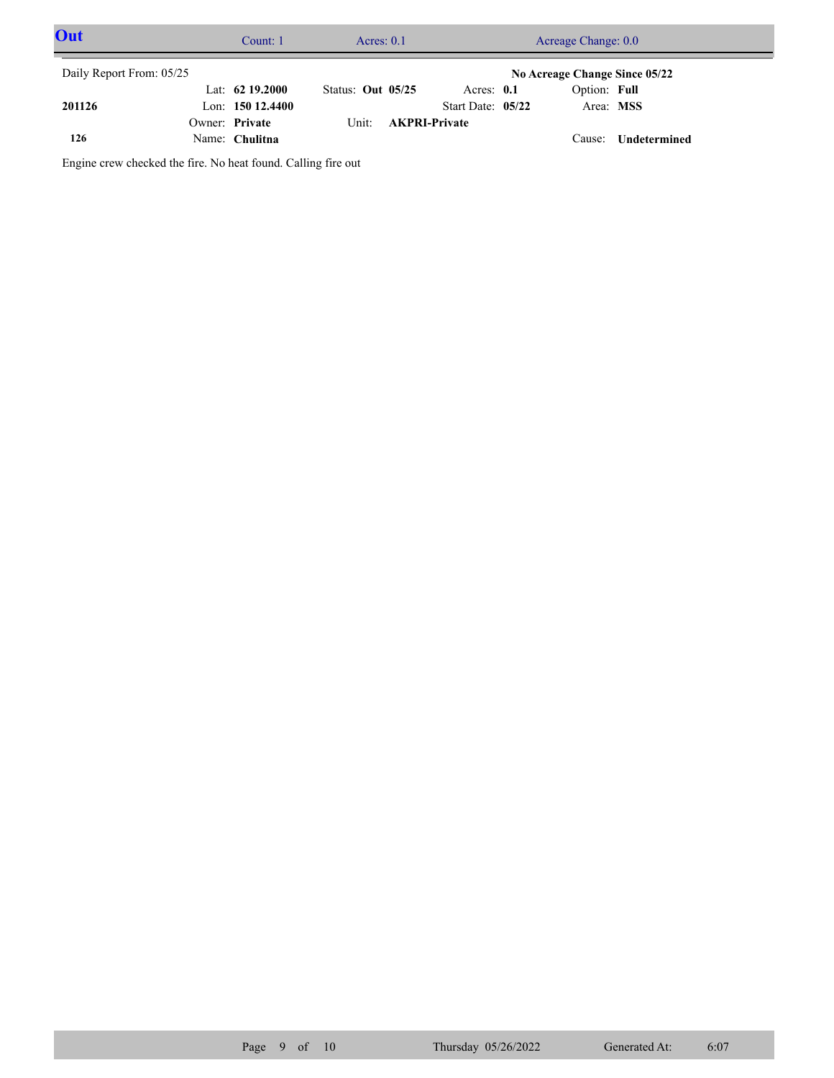| Out                      | Count: $1$        |                     | Acres: $0.1$ |                      | Acreage Change: 0.0           |                     |  |
|--------------------------|-------------------|---------------------|--------------|----------------------|-------------------------------|---------------------|--|
| Daily Report From: 05/25 |                   |                     |              |                      | No Acreage Change Since 05/22 |                     |  |
|                          | Lat: $62$ 19.2000 | Status: Out $05/25$ |              | Acres: $0.1$         | Option: Full                  |                     |  |
| 201126                   | Lon: $15012.4400$ |                     |              | Start Date: $05/22$  | Area: MSS                     |                     |  |
|                          | Owner: Private    | Unit:               |              | <b>AKPRI-Private</b> |                               |                     |  |
| 126                      | Name: Chulitna    |                     |              |                      | Cause:                        | <b>Undetermined</b> |  |

Engine crew checked the fire. No heat found. Calling fire out